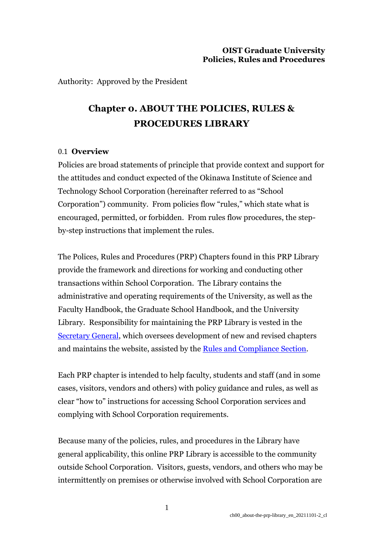Authority: Approved by the President

# **Chapter 0. ABOUT THE POLICIES, RULES & PROCEDURES LIBRARY**

### 0.1 **Overview**

Policies are broad statements of principle that provide context and support for the attitudes and conduct expected of the Okinawa Institute of Science and Technology School Corporation (hereinafter referred to as "School Corporation") community. From policies flow "rules," which state what is encouraged, permitted, or forbidden. From rules flow procedures, the stepby-step instructions that implement the rules.

The Polices, Rules and Procedures (PRP) Chapters found in this PRP Library provide the framework and directions for working and conducting other transactions within School Corporation. The Library contains the administrative and operating requirements of the University, as well as the Faculty Handbook, the Graduate School Handbook, and the University Library. Responsibility for maintaining the PRP Library is vested in th[e](https://www.oist.jp/policy-library/2.4#2.4.6) [Secretary](https://www.oist.jp/policy-library/2.4#2.4.6) General, which oversees development of new and revised chapters and maintains the website, assisted by the [Rules and Compliance](https://www.oist.jp/policy-library/0.2) Section.

Each PRP chapter is intended to help faculty, students and staff (and in some cases, visitors, vendors and others) with policy guidance and rules, as well as clear "how to" instructions for accessing School Corporation services and complying with School Corporation requirements.

Because many of the policies, rules, and procedures in the Library have general applicability, this online PRP Library is accessible to the community outside School Corporation. Visitors, guests, vendors, and others who may be intermittently on premises or otherwise involved with School Corporation are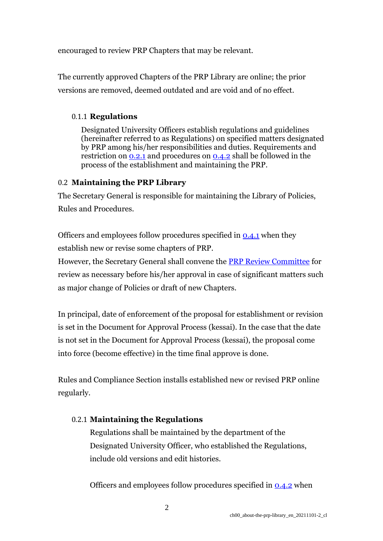encouraged to review PRP Chapters that may be relevant.

The currently approved Chapters of the PRP Library are online; the prior versions are removed, deemed outdated and are void and of no effect.

## 0.1.1 **Regulations**

Designated University Officers establish regulations and guidelines (hereinafter referred to as Regulations) on specified matters designated by PRP among his/her responsibilities and duties. Requirements and restriction on  $0.21$  and procedures on  $0.42$  shall be followed in the process of the establishment and maintaining the PRP.

## 0.2 **Maintaining the PRP Library**

The Secretary General is responsible for maintaining the Library of Policies, Rules and Procedures.

Officers and employees follow procedures specified in [0.4.1](https://www.oist.jp/policy-library/0.4#0.4.1) when they establish new or revise some chapters of PRP.

However, the Secretary General shall convene the [PRP Review Committee](https://www.oist.jp/policy-library/0.4#0.4.3) for review as necessary before his/her approval in case of significant matters such as major change of Policies or draft of new Chapters.

In principal, date of enforcement of the proposal for establishment or revision is set in the Document for Approval Process (kessai). In the case that the date is not set in the Document for Approval Process (kessai), the proposal come into force (become effective) in the time final approve is done.

Rules and Compliance Section installs established new or revised PRP online regularly.

# 0.2.1 **Maintaining the Regulations**

Regulations shall be maintained by the department of the Designated University Officer, who established the Regulations, include old versions and edit histories.

Officers and employees follow procedures specified in [0.4.2](https://www.oist.jp/policy-library/0.4#0.4.2) when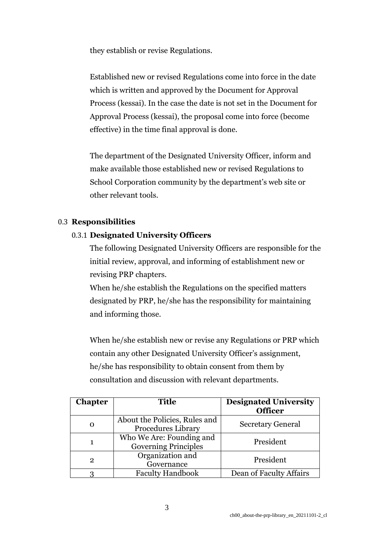they establish or revise Regulations.

Established new or revised Regulations come into force in the date which is written and approved by the Document for Approval Process (kessai). In the case the date is not set in the Document for Approval Process (kessai), the proposal come into force (become effective) in the time final approval is done.

The department of the Designated University Officer, inform and make available those established new or revised Regulations to School Corporation community by the department's web site or other relevant tools.

# 0.3 **Responsibilities**

# 0.3.1 **Designated University Officers**

The following Designated University Officers are responsible for the initial review, approval, and informing of establishment new or revising PRP chapters.

When he/she establish the Regulations on the specified matters designated by PRP, he/she has the responsibility for maintaining and informing those.

When he/she establish new or revise any Regulations or PRP which contain any other Designated University Officer's assignment, he/she has responsibility to obtain consent from them by consultation and discussion with relevant departments.

| <b>Chapter</b> | <b>Title</b>                                               | <b>Designated University</b><br><b>Officer</b> |
|----------------|------------------------------------------------------------|------------------------------------------------|
| O              | About the Policies, Rules and<br><b>Procedures Library</b> | <b>Secretary General</b>                       |
| 1              | Who We Are: Founding and<br><b>Governing Principles</b>    | President                                      |
| $\mathbf{2}$   | Organization and<br>Governance                             | President                                      |
| 3              | <b>Faculty Handbook</b>                                    | Dean of Faculty Affairs                        |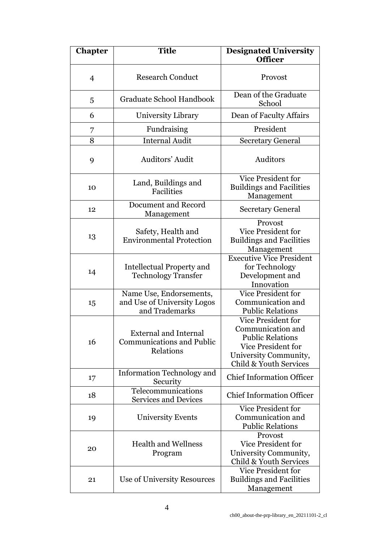| <b>Chapter</b> | <b>Title</b>                                                                  | <b>Designated University</b><br><b>Officer</b>                                                                                                            |
|----------------|-------------------------------------------------------------------------------|-----------------------------------------------------------------------------------------------------------------------------------------------------------|
| $\overline{4}$ | <b>Research Conduct</b>                                                       | Provost                                                                                                                                                   |
| 5              | Graduate School Handbook                                                      | Dean of the Graduate<br>School                                                                                                                            |
| 6              | University Library                                                            | Dean of Faculty Affairs                                                                                                                                   |
| 7              | Fundraising                                                                   | President                                                                                                                                                 |
| 8              | <b>Internal Audit</b>                                                         | <b>Secretary General</b>                                                                                                                                  |
| 9              | Auditors' Audit                                                               | Auditors                                                                                                                                                  |
| 10             | Land, Buildings and<br>Facilities                                             | <b>Vice President for</b><br><b>Buildings and Facilities</b><br>Management                                                                                |
| 12             | Document and Record<br>Management                                             | <b>Secretary General</b>                                                                                                                                  |
| 13             | Safety, Health and<br><b>Environmental Protection</b>                         | Provost<br>Vice President for<br><b>Buildings and Facilities</b><br>Management                                                                            |
| 14             | <b>Intellectual Property and</b><br><b>Technology Transfer</b>                | <b>Executive Vice President</b><br>for Technology<br>Development and<br>Innovation                                                                        |
| 15             | Name Use, Endorsements,<br>and Use of University Logos<br>and Trademarks      | Vice President for<br>Communication and<br><b>Public Relations</b>                                                                                        |
| 16             | <b>External and Internal</b><br><b>Communications and Public</b><br>Relations | <b>Vice President for</b><br>Communication and<br><b>Public Relations</b><br><b>Vice President for</b><br>University Community,<br>Child & Youth Services |
| 17             | <b>Information Technology and</b><br>Security                                 | <b>Chief Information Officer</b>                                                                                                                          |
| 18             | Telecommunications<br><b>Services and Devices</b>                             | <b>Chief Information Officer</b>                                                                                                                          |
| 19             | <b>University Events</b>                                                      | Vice President for<br>Communication and<br><b>Public Relations</b>                                                                                        |
| 20             | <b>Health and Wellness</b><br>Program                                         | Provost<br><b>Vice President for</b><br>University Community,<br>Child & Youth Services                                                                   |
| 21             | Use of University Resources                                                   | <b>Vice President for</b><br><b>Buildings and Facilities</b><br>Management                                                                                |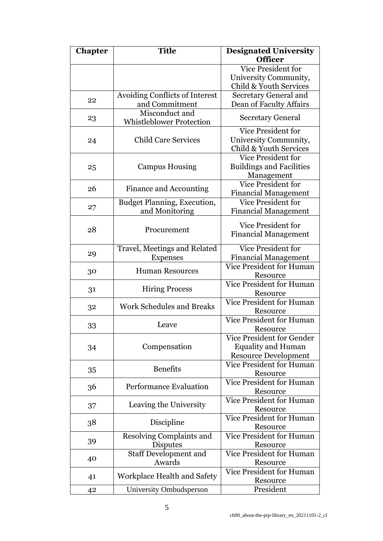| Vice President for<br>University Community,<br>Child & Youth Services<br>Avoiding Conflicts of Interest<br>Secretary General and<br>22<br>and Commitment<br>Dean of Faculty Affairs<br>Misconduct and<br><b>Secretary General</b><br>23<br><b>Whistleblower Protection</b><br>Vice President for<br><b>Child Care Services</b><br>University Community,<br>24<br>Child & Youth Services<br>Vice President for<br><b>Buildings and Facilities</b><br><b>Campus Housing</b><br>25<br>Management<br>Vice President for<br>Finance and Accounting<br>26<br><b>Financial Management</b><br><b>Vice President for</b><br>Budget Planning, Execution,<br>27<br>and Monitoring<br><b>Financial Management</b><br><b>Vice President for</b><br>28<br>Procurement<br><b>Financial Management</b><br><b>Vice President for</b><br>Travel, Meetings and Related<br>29<br><b>Financial Management</b><br><b>Expenses</b><br><b>Vice President for Human</b><br><b>Human Resources</b><br>30<br>Resource<br><b>Vice President for Human</b><br><b>Hiring Process</b><br>31<br>Resource<br><b>Vice President for Human</b><br><b>Work Schedules and Breaks</b><br>32<br>Resource<br><b>Vice President for Human</b><br>Leave<br>33<br>Resource<br><b>Vice President for Gender</b><br>Compensation<br><b>Equality and Human</b><br>34<br><b>Resource Development</b><br><b>Vice President for Human</b><br><b>Benefits</b><br>35<br>Resource<br><b>Vice President for Human</b><br><b>Performance Evaluation</b><br>36<br>Resource<br><b>Vice President for Human</b><br>Leaving the University<br>37<br>Resource<br><b>Vice President for Human</b><br>Discipline<br>38<br>Resource<br><b>Vice President for Human</b><br>Resolving Complaints and<br>39<br>Disputes<br>Resource<br>Vice President for Human<br><b>Staff Development and</b><br>40<br>Awards<br>Resource<br><b>Vice President for Human</b><br>Workplace Health and Safety<br>41<br>Resource<br>President<br>University Ombudsperson<br>42 | <b>Chapter</b> | <b>Title</b> | <b>Designated University</b> |
|----------------------------------------------------------------------------------------------------------------------------------------------------------------------------------------------------------------------------------------------------------------------------------------------------------------------------------------------------------------------------------------------------------------------------------------------------------------------------------------------------------------------------------------------------------------------------------------------------------------------------------------------------------------------------------------------------------------------------------------------------------------------------------------------------------------------------------------------------------------------------------------------------------------------------------------------------------------------------------------------------------------------------------------------------------------------------------------------------------------------------------------------------------------------------------------------------------------------------------------------------------------------------------------------------------------------------------------------------------------------------------------------------------------------------------------------------------------------------------------------------------------------------------------------------------------------------------------------------------------------------------------------------------------------------------------------------------------------------------------------------------------------------------------------------------------------------------------------------------------------------------------------------------------------------------------------------------------------------------------------|----------------|--------------|------------------------------|
|                                                                                                                                                                                                                                                                                                                                                                                                                                                                                                                                                                                                                                                                                                                                                                                                                                                                                                                                                                                                                                                                                                                                                                                                                                                                                                                                                                                                                                                                                                                                                                                                                                                                                                                                                                                                                                                                                                                                                                                              |                |              | <b>Officer</b>               |
|                                                                                                                                                                                                                                                                                                                                                                                                                                                                                                                                                                                                                                                                                                                                                                                                                                                                                                                                                                                                                                                                                                                                                                                                                                                                                                                                                                                                                                                                                                                                                                                                                                                                                                                                                                                                                                                                                                                                                                                              |                |              |                              |
|                                                                                                                                                                                                                                                                                                                                                                                                                                                                                                                                                                                                                                                                                                                                                                                                                                                                                                                                                                                                                                                                                                                                                                                                                                                                                                                                                                                                                                                                                                                                                                                                                                                                                                                                                                                                                                                                                                                                                                                              |                |              |                              |
|                                                                                                                                                                                                                                                                                                                                                                                                                                                                                                                                                                                                                                                                                                                                                                                                                                                                                                                                                                                                                                                                                                                                                                                                                                                                                                                                                                                                                                                                                                                                                                                                                                                                                                                                                                                                                                                                                                                                                                                              |                |              |                              |
|                                                                                                                                                                                                                                                                                                                                                                                                                                                                                                                                                                                                                                                                                                                                                                                                                                                                                                                                                                                                                                                                                                                                                                                                                                                                                                                                                                                                                                                                                                                                                                                                                                                                                                                                                                                                                                                                                                                                                                                              |                |              |                              |
|                                                                                                                                                                                                                                                                                                                                                                                                                                                                                                                                                                                                                                                                                                                                                                                                                                                                                                                                                                                                                                                                                                                                                                                                                                                                                                                                                                                                                                                                                                                                                                                                                                                                                                                                                                                                                                                                                                                                                                                              |                |              |                              |
|                                                                                                                                                                                                                                                                                                                                                                                                                                                                                                                                                                                                                                                                                                                                                                                                                                                                                                                                                                                                                                                                                                                                                                                                                                                                                                                                                                                                                                                                                                                                                                                                                                                                                                                                                                                                                                                                                                                                                                                              |                |              |                              |
|                                                                                                                                                                                                                                                                                                                                                                                                                                                                                                                                                                                                                                                                                                                                                                                                                                                                                                                                                                                                                                                                                                                                                                                                                                                                                                                                                                                                                                                                                                                                                                                                                                                                                                                                                                                                                                                                                                                                                                                              |                |              |                              |
|                                                                                                                                                                                                                                                                                                                                                                                                                                                                                                                                                                                                                                                                                                                                                                                                                                                                                                                                                                                                                                                                                                                                                                                                                                                                                                                                                                                                                                                                                                                                                                                                                                                                                                                                                                                                                                                                                                                                                                                              |                |              |                              |
|                                                                                                                                                                                                                                                                                                                                                                                                                                                                                                                                                                                                                                                                                                                                                                                                                                                                                                                                                                                                                                                                                                                                                                                                                                                                                                                                                                                                                                                                                                                                                                                                                                                                                                                                                                                                                                                                                                                                                                                              |                |              |                              |
|                                                                                                                                                                                                                                                                                                                                                                                                                                                                                                                                                                                                                                                                                                                                                                                                                                                                                                                                                                                                                                                                                                                                                                                                                                                                                                                                                                                                                                                                                                                                                                                                                                                                                                                                                                                                                                                                                                                                                                                              |                |              |                              |
|                                                                                                                                                                                                                                                                                                                                                                                                                                                                                                                                                                                                                                                                                                                                                                                                                                                                                                                                                                                                                                                                                                                                                                                                                                                                                                                                                                                                                                                                                                                                                                                                                                                                                                                                                                                                                                                                                                                                                                                              |                |              |                              |
|                                                                                                                                                                                                                                                                                                                                                                                                                                                                                                                                                                                                                                                                                                                                                                                                                                                                                                                                                                                                                                                                                                                                                                                                                                                                                                                                                                                                                                                                                                                                                                                                                                                                                                                                                                                                                                                                                                                                                                                              |                |              |                              |
|                                                                                                                                                                                                                                                                                                                                                                                                                                                                                                                                                                                                                                                                                                                                                                                                                                                                                                                                                                                                                                                                                                                                                                                                                                                                                                                                                                                                                                                                                                                                                                                                                                                                                                                                                                                                                                                                                                                                                                                              |                |              |                              |
|                                                                                                                                                                                                                                                                                                                                                                                                                                                                                                                                                                                                                                                                                                                                                                                                                                                                                                                                                                                                                                                                                                                                                                                                                                                                                                                                                                                                                                                                                                                                                                                                                                                                                                                                                                                                                                                                                                                                                                                              |                |              |                              |
|                                                                                                                                                                                                                                                                                                                                                                                                                                                                                                                                                                                                                                                                                                                                                                                                                                                                                                                                                                                                                                                                                                                                                                                                                                                                                                                                                                                                                                                                                                                                                                                                                                                                                                                                                                                                                                                                                                                                                                                              |                |              |                              |
|                                                                                                                                                                                                                                                                                                                                                                                                                                                                                                                                                                                                                                                                                                                                                                                                                                                                                                                                                                                                                                                                                                                                                                                                                                                                                                                                                                                                                                                                                                                                                                                                                                                                                                                                                                                                                                                                                                                                                                                              |                |              |                              |
|                                                                                                                                                                                                                                                                                                                                                                                                                                                                                                                                                                                                                                                                                                                                                                                                                                                                                                                                                                                                                                                                                                                                                                                                                                                                                                                                                                                                                                                                                                                                                                                                                                                                                                                                                                                                                                                                                                                                                                                              |                |              |                              |
|                                                                                                                                                                                                                                                                                                                                                                                                                                                                                                                                                                                                                                                                                                                                                                                                                                                                                                                                                                                                                                                                                                                                                                                                                                                                                                                                                                                                                                                                                                                                                                                                                                                                                                                                                                                                                                                                                                                                                                                              |                |              |                              |
|                                                                                                                                                                                                                                                                                                                                                                                                                                                                                                                                                                                                                                                                                                                                                                                                                                                                                                                                                                                                                                                                                                                                                                                                                                                                                                                                                                                                                                                                                                                                                                                                                                                                                                                                                                                                                                                                                                                                                                                              |                |              |                              |
|                                                                                                                                                                                                                                                                                                                                                                                                                                                                                                                                                                                                                                                                                                                                                                                                                                                                                                                                                                                                                                                                                                                                                                                                                                                                                                                                                                                                                                                                                                                                                                                                                                                                                                                                                                                                                                                                                                                                                                                              |                |              |                              |
|                                                                                                                                                                                                                                                                                                                                                                                                                                                                                                                                                                                                                                                                                                                                                                                                                                                                                                                                                                                                                                                                                                                                                                                                                                                                                                                                                                                                                                                                                                                                                                                                                                                                                                                                                                                                                                                                                                                                                                                              |                |              |                              |
|                                                                                                                                                                                                                                                                                                                                                                                                                                                                                                                                                                                                                                                                                                                                                                                                                                                                                                                                                                                                                                                                                                                                                                                                                                                                                                                                                                                                                                                                                                                                                                                                                                                                                                                                                                                                                                                                                                                                                                                              |                |              |                              |
|                                                                                                                                                                                                                                                                                                                                                                                                                                                                                                                                                                                                                                                                                                                                                                                                                                                                                                                                                                                                                                                                                                                                                                                                                                                                                                                                                                                                                                                                                                                                                                                                                                                                                                                                                                                                                                                                                                                                                                                              |                |              |                              |
|                                                                                                                                                                                                                                                                                                                                                                                                                                                                                                                                                                                                                                                                                                                                                                                                                                                                                                                                                                                                                                                                                                                                                                                                                                                                                                                                                                                                                                                                                                                                                                                                                                                                                                                                                                                                                                                                                                                                                                                              |                |              |                              |
|                                                                                                                                                                                                                                                                                                                                                                                                                                                                                                                                                                                                                                                                                                                                                                                                                                                                                                                                                                                                                                                                                                                                                                                                                                                                                                                                                                                                                                                                                                                                                                                                                                                                                                                                                                                                                                                                                                                                                                                              |                |              |                              |
|                                                                                                                                                                                                                                                                                                                                                                                                                                                                                                                                                                                                                                                                                                                                                                                                                                                                                                                                                                                                                                                                                                                                                                                                                                                                                                                                                                                                                                                                                                                                                                                                                                                                                                                                                                                                                                                                                                                                                                                              |                |              |                              |
|                                                                                                                                                                                                                                                                                                                                                                                                                                                                                                                                                                                                                                                                                                                                                                                                                                                                                                                                                                                                                                                                                                                                                                                                                                                                                                                                                                                                                                                                                                                                                                                                                                                                                                                                                                                                                                                                                                                                                                                              |                |              |                              |
|                                                                                                                                                                                                                                                                                                                                                                                                                                                                                                                                                                                                                                                                                                                                                                                                                                                                                                                                                                                                                                                                                                                                                                                                                                                                                                                                                                                                                                                                                                                                                                                                                                                                                                                                                                                                                                                                                                                                                                                              |                |              |                              |
|                                                                                                                                                                                                                                                                                                                                                                                                                                                                                                                                                                                                                                                                                                                                                                                                                                                                                                                                                                                                                                                                                                                                                                                                                                                                                                                                                                                                                                                                                                                                                                                                                                                                                                                                                                                                                                                                                                                                                                                              |                |              |                              |
|                                                                                                                                                                                                                                                                                                                                                                                                                                                                                                                                                                                                                                                                                                                                                                                                                                                                                                                                                                                                                                                                                                                                                                                                                                                                                                                                                                                                                                                                                                                                                                                                                                                                                                                                                                                                                                                                                                                                                                                              |                |              |                              |
|                                                                                                                                                                                                                                                                                                                                                                                                                                                                                                                                                                                                                                                                                                                                                                                                                                                                                                                                                                                                                                                                                                                                                                                                                                                                                                                                                                                                                                                                                                                                                                                                                                                                                                                                                                                                                                                                                                                                                                                              |                |              |                              |
|                                                                                                                                                                                                                                                                                                                                                                                                                                                                                                                                                                                                                                                                                                                                                                                                                                                                                                                                                                                                                                                                                                                                                                                                                                                                                                                                                                                                                                                                                                                                                                                                                                                                                                                                                                                                                                                                                                                                                                                              |                |              |                              |
|                                                                                                                                                                                                                                                                                                                                                                                                                                                                                                                                                                                                                                                                                                                                                                                                                                                                                                                                                                                                                                                                                                                                                                                                                                                                                                                                                                                                                                                                                                                                                                                                                                                                                                                                                                                                                                                                                                                                                                                              |                |              |                              |
|                                                                                                                                                                                                                                                                                                                                                                                                                                                                                                                                                                                                                                                                                                                                                                                                                                                                                                                                                                                                                                                                                                                                                                                                                                                                                                                                                                                                                                                                                                                                                                                                                                                                                                                                                                                                                                                                                                                                                                                              |                |              |                              |
|                                                                                                                                                                                                                                                                                                                                                                                                                                                                                                                                                                                                                                                                                                                                                                                                                                                                                                                                                                                                                                                                                                                                                                                                                                                                                                                                                                                                                                                                                                                                                                                                                                                                                                                                                                                                                                                                                                                                                                                              |                |              |                              |
|                                                                                                                                                                                                                                                                                                                                                                                                                                                                                                                                                                                                                                                                                                                                                                                                                                                                                                                                                                                                                                                                                                                                                                                                                                                                                                                                                                                                                                                                                                                                                                                                                                                                                                                                                                                                                                                                                                                                                                                              |                |              |                              |
|                                                                                                                                                                                                                                                                                                                                                                                                                                                                                                                                                                                                                                                                                                                                                                                                                                                                                                                                                                                                                                                                                                                                                                                                                                                                                                                                                                                                                                                                                                                                                                                                                                                                                                                                                                                                                                                                                                                                                                                              |                |              |                              |
|                                                                                                                                                                                                                                                                                                                                                                                                                                                                                                                                                                                                                                                                                                                                                                                                                                                                                                                                                                                                                                                                                                                                                                                                                                                                                                                                                                                                                                                                                                                                                                                                                                                                                                                                                                                                                                                                                                                                                                                              |                |              |                              |
|                                                                                                                                                                                                                                                                                                                                                                                                                                                                                                                                                                                                                                                                                                                                                                                                                                                                                                                                                                                                                                                                                                                                                                                                                                                                                                                                                                                                                                                                                                                                                                                                                                                                                                                                                                                                                                                                                                                                                                                              |                |              |                              |
|                                                                                                                                                                                                                                                                                                                                                                                                                                                                                                                                                                                                                                                                                                                                                                                                                                                                                                                                                                                                                                                                                                                                                                                                                                                                                                                                                                                                                                                                                                                                                                                                                                                                                                                                                                                                                                                                                                                                                                                              |                |              |                              |
|                                                                                                                                                                                                                                                                                                                                                                                                                                                                                                                                                                                                                                                                                                                                                                                                                                                                                                                                                                                                                                                                                                                                                                                                                                                                                                                                                                                                                                                                                                                                                                                                                                                                                                                                                                                                                                                                                                                                                                                              |                |              |                              |
|                                                                                                                                                                                                                                                                                                                                                                                                                                                                                                                                                                                                                                                                                                                                                                                                                                                                                                                                                                                                                                                                                                                                                                                                                                                                                                                                                                                                                                                                                                                                                                                                                                                                                                                                                                                                                                                                                                                                                                                              |                |              |                              |
|                                                                                                                                                                                                                                                                                                                                                                                                                                                                                                                                                                                                                                                                                                                                                                                                                                                                                                                                                                                                                                                                                                                                                                                                                                                                                                                                                                                                                                                                                                                                                                                                                                                                                                                                                                                                                                                                                                                                                                                              |                |              |                              |
|                                                                                                                                                                                                                                                                                                                                                                                                                                                                                                                                                                                                                                                                                                                                                                                                                                                                                                                                                                                                                                                                                                                                                                                                                                                                                                                                                                                                                                                                                                                                                                                                                                                                                                                                                                                                                                                                                                                                                                                              |                |              |                              |
|                                                                                                                                                                                                                                                                                                                                                                                                                                                                                                                                                                                                                                                                                                                                                                                                                                                                                                                                                                                                                                                                                                                                                                                                                                                                                                                                                                                                                                                                                                                                                                                                                                                                                                                                                                                                                                                                                                                                                                                              |                |              |                              |
|                                                                                                                                                                                                                                                                                                                                                                                                                                                                                                                                                                                                                                                                                                                                                                                                                                                                                                                                                                                                                                                                                                                                                                                                                                                                                                                                                                                                                                                                                                                                                                                                                                                                                                                                                                                                                                                                                                                                                                                              |                |              |                              |
|                                                                                                                                                                                                                                                                                                                                                                                                                                                                                                                                                                                                                                                                                                                                                                                                                                                                                                                                                                                                                                                                                                                                                                                                                                                                                                                                                                                                                                                                                                                                                                                                                                                                                                                                                                                                                                                                                                                                                                                              |                |              |                              |
|                                                                                                                                                                                                                                                                                                                                                                                                                                                                                                                                                                                                                                                                                                                                                                                                                                                                                                                                                                                                                                                                                                                                                                                                                                                                                                                                                                                                                                                                                                                                                                                                                                                                                                                                                                                                                                                                                                                                                                                              |                |              |                              |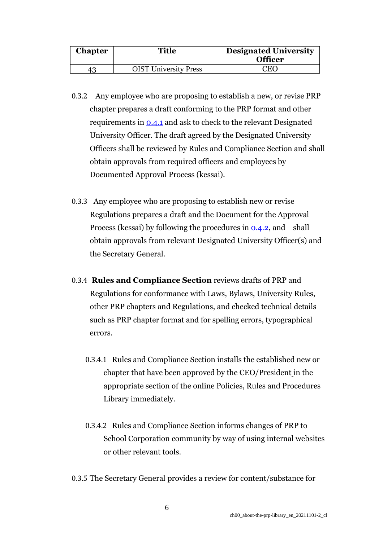| <b>Chapter</b> | Title                        | <b>Designated University</b><br><b>Officer</b> |
|----------------|------------------------------|------------------------------------------------|
|                | <b>OIST University Press</b> | CEO                                            |

- 0.3.2 Any employee who are proposing to establish a new, or revise PRP chapter prepares a draft conforming to the PRP format and other requirements in [0.4.1](https://www.oist.jp/policy-library/0.4#0.4.1) and ask to check to the relevant Designated University Officer. The draft agreed by the Designated University Officers shall be reviewed by Rules and Compliance Section and shall obtain approvals from required officers and employees by Documented Approval Process (kessai).
- 0.3.3 Any employee who are proposing to establish new or revise Regulations prepares a draft and the Document for the Approval Process (kessai) by following the procedures in  $0.4.2$ , and shall obtain approvals from relevant Designated University Officer(s) and the Secretary General.
- 0.3.4 **Rules and Compliance Section** reviews drafts of PRP and Regulations for conformance with Laws, Bylaws, University Rules, other PRP chapters and Regulations, and checked technical details such as PRP chapter format and for spelling errors, typographical errors.
	- 0.3.4.1 Rules and Compliance Section installs the established new or chapter that have been approved by the CEO/President in the appropriate section of the online Policies, Rules and Procedures Library immediately.
	- 0.3.4.2 Rules and Compliance Section informs changes of PRP to School Corporation community by way of using internal websites or other relevant tools.
- 0.3.5 The Secretary General provides a review for content/substance for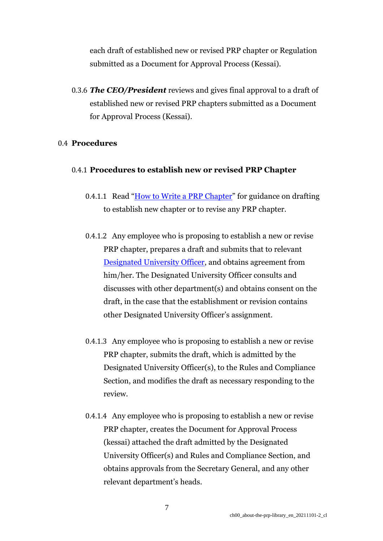each draft of established new or revised PRP chapter or Regulation submitted as a Document for Approval Process (Kessai).

0.3.6 *The CEO/President* reviews and gives final approval to a draft of established new or revised PRP chapters submitted as a Document for Approval Process (Kessai).

#### 0.4 **Procedures**

#### 0.4.1 **Procedures to establish new or revised PRP Chapter**

- 0.4.1.1 Read "[How to Write a PRP Chapter](https://groups.oist.jp/coo/prp)" for guidance on drafting to establish new chapter or to revise any PRP chapter.
- 0.4.1.2 Any employee who is proposing to establish a new or revise PRP chapter, prepares a draft and submits that to relevant [Designated University Officer,](https://www.oist.jp/policy-library/0.3#0.3.1) and obtains agreement from him/her. The Designated University Officer consults and discusses with other department(s) and obtains consent on the draft, in the case that the establishment or revision contains other Designated University Officer's assignment.
- 0.4.1.3 Any employee who is proposing to establish a new or revise PRP chapter, submits the draft, which is admitted by the Designated University Officer(s), to the Rules and Compliance Section, and modifies the draft as necessary responding to the review.
- 0.4.1.4 Any employee who is proposing to establish a new or revise PRP chapter, creates the Document for Approval Process (kessai) attached the draft admitted by the Designated University Officer(s) and Rules and Compliance Section, and obtains approvals from the Secretary General, and any other relevant department's heads.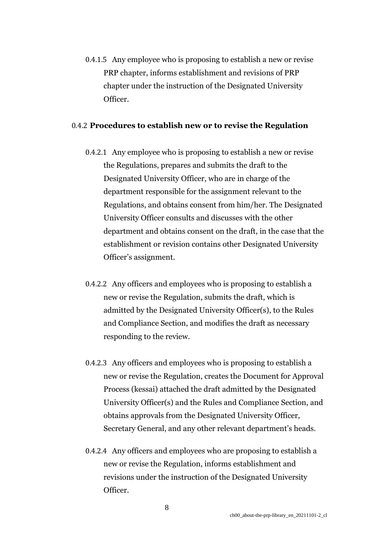0.4.1.5 Any employee who is proposing to establish a new or revise PRP chapter, informs establishment and revisions of PRP chapter under the instruction of the Designated University Officer.

#### 0.4.2 **Procedures to establish new or to revise the Regulation**

- 0.4.2.1 Any employee who is proposing to establish a new or revise the Regulations, prepares and submits the draft to the Designated University Officer, who are in charge of the department responsible for the assignment relevant to the Regulations, and obtains consent from him/her. The Designated University Officer consults and discusses with the other department and obtains consent on the draft, in the case that the establishment or revision contains other Designated University Officer's assignment.
- 0.4.2.2 Any officers and employees who is proposing to establish a new or revise the Regulation, submits the draft, which is admitted by the Designated University Officer(s), to the Rules and Compliance Section, and modifies the draft as necessary responding to the review.
- 0.4.2.3 Any officers and employees who is proposing to establish a new or revise the Regulation, creates the Document for Approval Process (kessai) attached the draft admitted by the Designated University Officer(s) and the Rules and Compliance Section, and obtains approvals from the Designated University Officer, Secretary General, and any other relevant department's heads.
- 0.4.2.4 Any officers and employees who are proposing to establish a new or revise the Regulation, informs establishment and revisions under the instruction of the Designated University Officer.